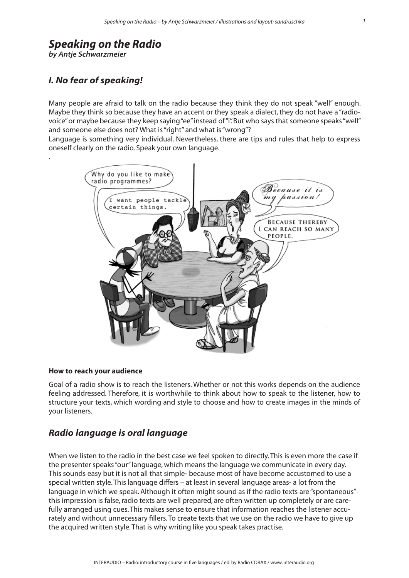# *Speaking on the Radio*

*by Antje Schwarzmeier*

.

# *I. No fear of speaking!*

Many people are afraid to talk on the radio because they think they do not speak "well" enough. Maybe they think so because they have an accent or they speak a dialect, they do not have a "radiovoice" or maybe because they keep saying "ee" instead of "i". But who says that someone speaks "well" and someone else does not? What is "right" and what is "wrong"?

Language is something very individual. Nevertheless, there are tips and rules that help to express oneself clearly on the radio. Speak your own language.



### **How to reach your audience**

Goal of a radio show is to reach the listeners. Whether or not this works depends on the audience feeling addressed. Therefore, it is worthwhile to think about how to speak to the listener, how to structure your texts, which wording and style to choose and how to create images in the minds of your listeners.

# *Radio language is oral language*

When we listen to the radio in the best case we feel spoken to directly. This is even more the case if the presenter speaks "our" language, which means the language we communicate in every day. This sounds easy but it is not all that simple- because most of have become accustomed to use a special written style. This language differs – at least in several language areas- a lot from the language in which we speak. Although it often might sound as if the radio texts are "spontaneous" this impression is false, radio texts are well prepared, are often written up completely or are carefully arranged using cues. This makes sense to ensure that information reaches the listener accurately and without unnecessary fillers. To create texts that we use on the radio we have to give up the acquired written style. That is why writing like you speak takes practise.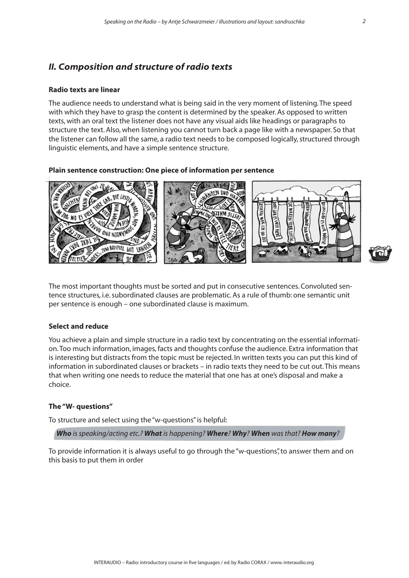# *II. Composition and structure of radio texts*

#### **Radio texts are linear**

The audience needs to understand what is being said in the very moment of listening. The speed with which they have to grasp the content is determined by the speaker. As opposed to written texts, with an oral text the listener does not have any visual aids like headings or paragraphs to structure the text. Also, when listening you cannot turn back a page like with a newspaper. So that the listener can follow all the same, a radio text needs to be composed logically, structured through linguistic elements, and have a simple sentence structure.

#### **Plain sentence construction: One piece of information per sentence**



The most important thoughts must be sorted and put in consecutive sentences. Convoluted sentence structures, i.e. subordinated clauses are problematic. As a rule of thumb: one semantic unit per sentence is enough – one subordinated clause is maximum.

# **Select and reduce**

You achieve a plain and simple structure in a radio text by concentrating on the essential information. Too much information, images, facts and thoughts confuse the audience. Extra information that is interesting but distracts from the topic must be rejected. In written texts you can put this kind of information in subordinated clauses or brackets – in radio texts they need to be cut out. This means that when writing one needs to reduce the material that one has at one's disposal and make a choice.

#### **The "W- questions"**

To structure and select using the "w-questions" is helpful:

*Who is speaking/acting etc.? What is happening? Where? Why? When was that? How many?* 

To provide information it is always useful to go through the "w-questions", to answer them and on this basis to put them in order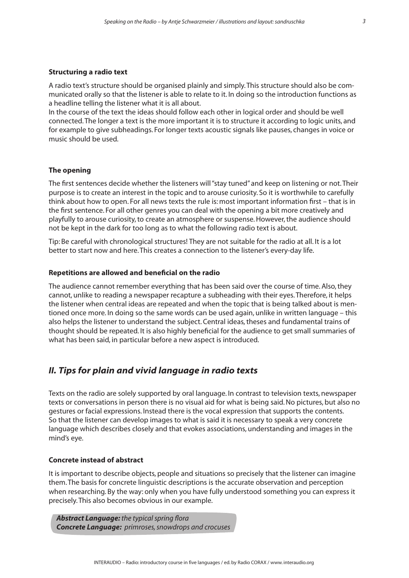#### **Structuring a radio text**

A radio text's structure should be organised plainly and simply. This structure should also be communicated orally so that the listener is able to relate to it. In doing so the introduction functions as a headline telling the listener what it is all about.

In the course of the text the ideas should follow each other in logical order and should be well connected. The longer a text is the more important it is to structure it according to logic units, and for example to give subheadings. For longer texts acoustic signals like pauses, changes in voice or music should be used.

#### **The opening**

The first sentences decide whether the listeners will "stay tuned" and keep on listening or not. Their purpose is to create an interest in the topic and to arouse curiosity. So it is worthwhile to carefully think about how to open. For all news texts the rule is: most important information first – that is in the first sentence. For all other genres you can deal with the opening a bit more creatively and playfully to arouse curiosity, to create an atmosphere or suspense. However, the audience should not be kept in the dark for too long as to what the following radio text is about.

Tip: Be careful with chronological structures! They are not suitable for the radio at all. It is a lot better to start now and here. This creates a connection to the listener's every-day life.

#### **Repetitions are allowed and beneficial on the radio**

The audience cannot remember everything that has been said over the course of time. Also, they cannot, unlike to reading a newspaper recapture a subheading with their eyes. Therefore, it helps the listener when central ideas are repeated and when the topic that is being talked about is mentioned once more. In doing so the same words can be used again, unlike in written language – this also helps the listener to understand the subject. Central ideas, theses and fundamental trains of thought should be repeated. It is also highly beneficial for the audience to get small summaries of what has been said, in particular before a new aspect is introduced.

# *II. Tips for plain and vivid language in radio texts*

Texts on the radio are solely supported by oral language. In contrast to television texts, newspaper texts or conversations in person there is no visual aid for what is being said. No pictures, but also no gestures or facial expressions. Instead there is the vocal expression that supports the contents. So that the listener can develop images to what is said it is necessary to speak a very concrete language which describes closely and that evokes associations, understanding and images in the mind's eye.

#### **Concrete instead of abstract**

It is important to describe objects, people and situations so precisely that the listener can imagine them. The basis for concrete linguistic descriptions is the accurate observation and perception when researching. By the way: only when you have fully understood something you can express it precisely. This also becomes obvious in our example.

*Abstract Language: the typical spring flora Concrete Language: primroses, snowdrops and crocuses*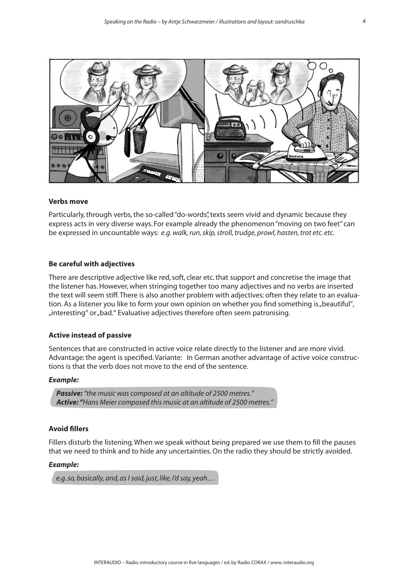

#### **Verbs move**

Particularly, through verbs, the so-called "do-words", texts seem vivid and dynamic because they express acts in very diverse ways. For example already the phenomenon "moving on two feet" can be expressed in uncountable ways: *e.g. walk, run, skip, stroll, trudge, prowl, hasten, trot etc. etc.* 

#### **Be careful with adjectives**

There are descriptive adjective like red, soft, clear etc. that support and concretise the image that the listener has. However, when stringing together too many adjectives and no verbs are inserted the text will seem stiff. There is also another problem with adjectives: often they relate to an evaluation. As a listener you like to form your own opinion on whether you find something is "beautiful", "interesting" or "bad." Evaluative adjectives therefore often seem patronising.

#### **Active instead of passive**

Sentences that are constructed in active voice relate directly to the listener and are more vivid. Advantage: the agent is specified. Variante: In German another advantage of active voice constructions is that the verb does not move to the end of the sentence.

#### *Example:*

*Passive: "the music was composed at an altitude of 2500 metres." Active: "Hans Meier composed this music at an altitude of 2500 metres."* 

## **Avoid fillers**

Fillers disturb the listening. When we speak without being prepared we use them to fill the pauses that we need to think and to hide any uncertainties. On the radio they should be strictly avoided.

#### *Example:*

*e.g. so, basically, and, as I said, just, like, I'd say, yeah…*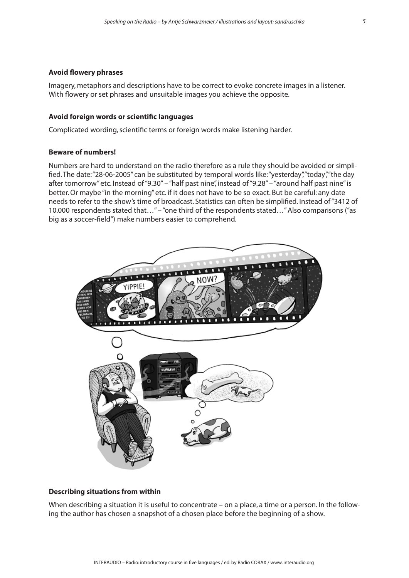#### **Avoid flowery phrases**

Imagery, metaphors and descriptions have to be correct to evoke concrete images in a listener. With flowery or set phrases and unsuitable images you achieve the opposite.

### **Avoid foreign words or scientific languages**

Complicated wording, scientific terms or foreign words make listening harder.

#### **Beware of numbers!**

Numbers are hard to understand on the radio therefore as a rule they should be avoided or simplified. The date: "28-06-2005" can be substituted by temporal words like: "yesterday", "today", "the day after tomorrow" etc. Instead of "9.30" – "half past nine", instead of "9.28" – "around half past nine" is better. Or maybe "in the morning" etc. if it does not have to be so exact. But be careful: any date needs to refer to the show's time of broadcast. Statistics can often be simplified. Instead of "3412 of 10.000 respondents stated that…" – "one third of the respondents stated…" Also comparisons ("as big as a soccer-field") make numbers easier to comprehend.



### **Describing situations from within**

When describing a situation it is useful to concentrate – on a place, a time or a person. In the following the author has chosen a snapshot of a chosen place before the beginning of a show.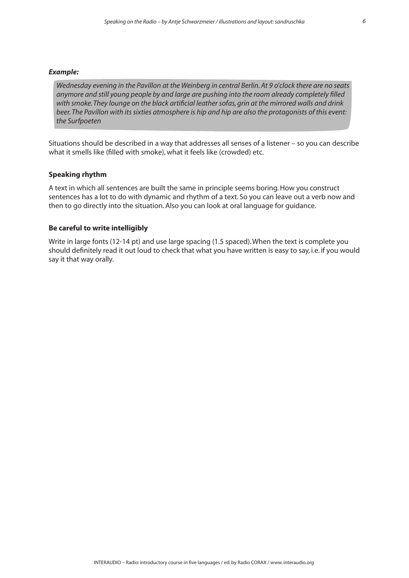#### *Example:*

*Wednesday evening in the Pavillon at the Weinberg in central Berlin. At 9 o'clock there are no seats anymore and still young people by and large are pushing into the room already completely filled with smoke. They lounge on the black artificial leather sofas, grin at the mirrored walls and drink beer. The Pavillon with its sixties atmosphere is hip and hip are also the protagonists of this event: the Surfpoeten*

Situations should be described in a way that addresses all senses of a listener – so you can describe what it smells like (filled with smoke), what it feels like (crowded) etc.

#### **Speaking rhythm**

A text in which all sentences are built the same in principle seems boring. How you construct sentences has a lot to do with dynamic and rhythm of a text. So you can leave out a verb now and then to go directly into the situation. Also you can look at oral language for guidance.

#### **Be careful to write intelligibly**

Write in large fonts (12-14 pt) and use large spacing (1.5 spaced). When the text is complete you should definitely read it out loud to check that what you have written is easy to say, i.e. if you would say it that way orally.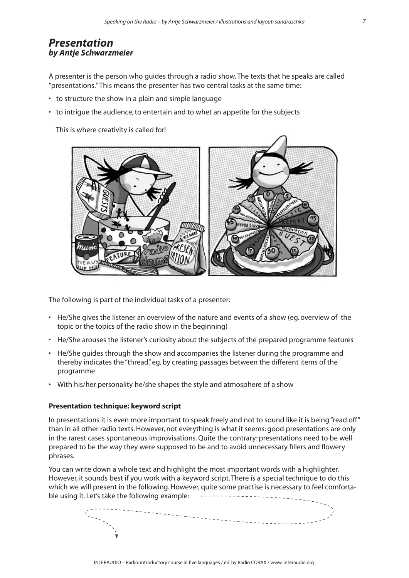# *Presentation by Antje Schwarzmeier*

A presenter is the person who guides through a radio show. The texts that he speaks are called "presentations." This means the presenter has two central tasks at the same time:

- to structure the show in a plain and simple language
- to intrigue the audience, to entertain and to whet an appetite for the subjects

This is where creativity is called for!



The following is part of the individual tasks of a presenter:

- He/She gives the listener an overview of the nature and events of a show (eg. overview of the topic or the topics of the radio show in the beginning)
- He/She arouses the listener's curiosity about the subjects of the prepared programme features
- He/She guides through the show and accompanies the listener during the programme and thereby indicates the "thread", eg. by creating passages between the different items of the programme
- With his/her personality he/she shapes the style and atmosphere of a show

#### **Presentation technique: keyword script**

In presentations it is even more important to speak freely and not to sound like it is being "read off" than in all other radio texts. However, not everything is what it seems: good presentations are only in the rarest cases spontaneous improvisations. Quite the contrary: presentations need to be well prepared to be the way they were supposed to be and to avoid unnecessary fillers and flowery phrases.

You can write down a whole text and highlight the most important words with a highlighter. However, it sounds best if you work with a keyword script. There is a special technique to do this which we will present in the following. However, quite some practise is necessary to feel comfortable using it. Let's take the following example:  $-$